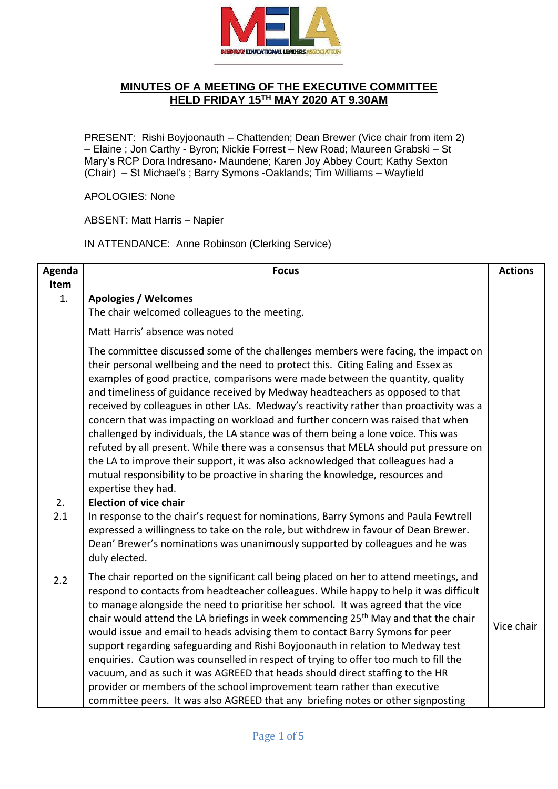

## **MINUTES OF A MEETING OF THE EXECUTIVE COMMITTEE HELD FRIDAY 15TH MAY 2020 AT 9.30AM**

PRESENT: Rishi Boyjoonauth – Chattenden; Dean Brewer (Vice chair from item 2) – Elaine ; Jon Carthy - Byron; Nickie Forrest – New Road; Maureen Grabski – St Mary's RCP Dora Indresano- Maundene; Karen Joy Abbey Court; Kathy Sexton (Chair) – St Michael's ; Barry Symons -Oaklands; Tim Williams – Wayfield

## APOLOGIES: None

ABSENT: Matt Harris – Napier

IN ATTENDANCE: Anne Robinson (Clerking Service)

| Agenda<br>Item | <b>Focus</b>                                                                                                                                                                                                                                                                                                                                                                                                                                                                                                                                                                                                                                                                                                                                                                                                                                                                                   | <b>Actions</b> |
|----------------|------------------------------------------------------------------------------------------------------------------------------------------------------------------------------------------------------------------------------------------------------------------------------------------------------------------------------------------------------------------------------------------------------------------------------------------------------------------------------------------------------------------------------------------------------------------------------------------------------------------------------------------------------------------------------------------------------------------------------------------------------------------------------------------------------------------------------------------------------------------------------------------------|----------------|
| 1.             | <b>Apologies / Welcomes</b><br>The chair welcomed colleagues to the meeting.                                                                                                                                                                                                                                                                                                                                                                                                                                                                                                                                                                                                                                                                                                                                                                                                                   |                |
|                | Matt Harris' absence was noted                                                                                                                                                                                                                                                                                                                                                                                                                                                                                                                                                                                                                                                                                                                                                                                                                                                                 |                |
|                | The committee discussed some of the challenges members were facing, the impact on<br>their personal wellbeing and the need to protect this. Citing Ealing and Essex as<br>examples of good practice, comparisons were made between the quantity, quality<br>and timeliness of guidance received by Medway headteachers as opposed to that<br>received by colleagues in other LAs. Medway's reactivity rather than proactivity was a<br>concern that was impacting on workload and further concern was raised that when<br>challenged by individuals, the LA stance was of them being a lone voice. This was<br>refuted by all present. While there was a consensus that MELA should put pressure on<br>the LA to improve their support, it was also acknowledged that colleagues had a<br>mutual responsibility to be proactive in sharing the knowledge, resources and<br>expertise they had. |                |
| 2.             | <b>Election of vice chair</b>                                                                                                                                                                                                                                                                                                                                                                                                                                                                                                                                                                                                                                                                                                                                                                                                                                                                  |                |
| 2.1            | In response to the chair's request for nominations, Barry Symons and Paula Fewtrell<br>expressed a willingness to take on the role, but withdrew in favour of Dean Brewer.<br>Dean' Brewer's nominations was unanimously supported by colleagues and he was<br>duly elected.                                                                                                                                                                                                                                                                                                                                                                                                                                                                                                                                                                                                                   |                |
| 2.2            | The chair reported on the significant call being placed on her to attend meetings, and<br>respond to contacts from headteacher colleagues. While happy to help it was difficult<br>to manage alongside the need to prioritise her school. It was agreed that the vice<br>chair would attend the LA briefings in week commencing 25 <sup>th</sup> May and that the chair<br>would issue and email to heads advising them to contact Barry Symons for peer<br>support regarding safeguarding and Rishi Boyjoonauth in relation to Medway test<br>enquiries. Caution was counselled in respect of trying to offer too much to fill the<br>vacuum, and as such it was AGREED that heads should direct staffing to the HR<br>provider or members of the school improvement team rather than executive<br>committee peers. It was also AGREED that any briefing notes or other signposting           | Vice chair     |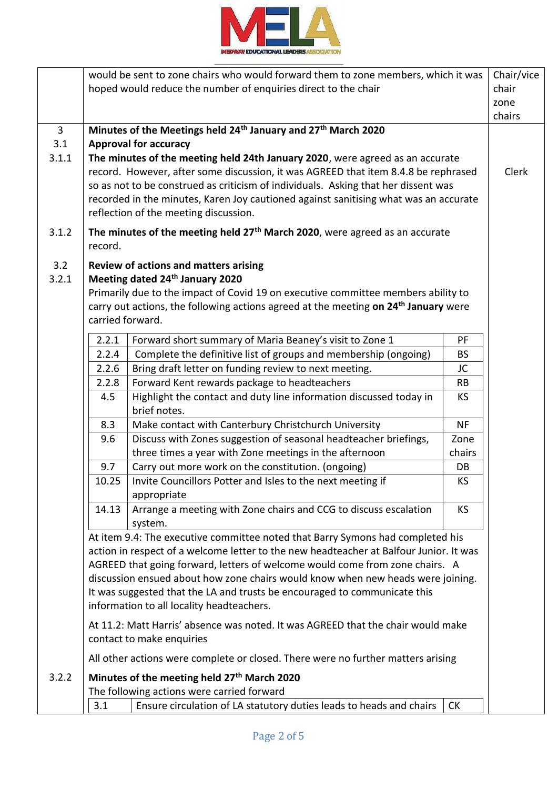

|                     |                  | would be sent to zone chairs who would forward them to zone members, which it was                                             |           | Chair/vice |
|---------------------|------------------|-------------------------------------------------------------------------------------------------------------------------------|-----------|------------|
|                     |                  | hoped would reduce the number of enquiries direct to the chair                                                                |           | chair      |
|                     |                  |                                                                                                                               |           | zone       |
|                     |                  |                                                                                                                               |           | chairs     |
| $\mathbf{3}$<br>3.1 |                  | Minutes of the Meetings held 24 <sup>th</sup> January and 27 <sup>th</sup> March 2020<br><b>Approval for accuracy</b>         |           |            |
| 3.1.1               |                  | The minutes of the meeting held 24th January 2020, were agreed as an accurate                                                 |           |            |
|                     |                  | record. However, after some discussion, it was AGREED that item 8.4.8 be rephrased                                            |           | Clerk      |
|                     |                  | so as not to be construed as criticism of individuals. Asking that her dissent was                                            |           |            |
|                     |                  | recorded in the minutes, Karen Joy cautioned against sanitising what was an accurate<br>reflection of the meeting discussion. |           |            |
| 3.1.2               |                  | The minutes of the meeting held 27 <sup>th</sup> March 2020, were agreed as an accurate                                       |           |            |
|                     | record.          |                                                                                                                               |           |            |
| 3.2<br>3.2.1        |                  | <b>Review of actions and matters arising</b><br>Meeting dated 24th January 2020                                               |           |            |
|                     |                  | Primarily due to the impact of Covid 19 on executive committee members ability to                                             |           |            |
|                     |                  | carry out actions, the following actions agreed at the meeting on 24 <sup>th</sup> January were                               |           |            |
|                     | carried forward. |                                                                                                                               |           |            |
|                     | 2.2.1            | Forward short summary of Maria Beaney's visit to Zone 1                                                                       | PF        |            |
|                     | 2.2.4            | Complete the definitive list of groups and membership (ongoing)                                                               | <b>BS</b> |            |
|                     | 2.2.6            | Bring draft letter on funding review to next meeting.                                                                         | JC        |            |
|                     | 2.2.8            | Forward Kent rewards package to headteachers                                                                                  | <b>RB</b> |            |
|                     | 4.5              | Highlight the contact and duty line information discussed today in<br>brief notes.                                            | <b>KS</b> |            |
|                     | 8.3              | Make contact with Canterbury Christchurch University                                                                          | <b>NF</b> |            |
|                     | 9.6              | Discuss with Zones suggestion of seasonal headteacher briefings,                                                              | Zone      |            |
|                     |                  | three times a year with Zone meetings in the afternoon                                                                        | chairs    |            |
|                     | 9.7              | Carry out more work on the constitution. (ongoing)                                                                            | DB        |            |
|                     | 10.25            | Invite Councillors Potter and Isles to the next meeting if                                                                    | <b>KS</b> |            |
|                     |                  | appropriate                                                                                                                   |           |            |
|                     | 14.13            | Arrange a meeting with Zone chairs and CCG to discuss escalation                                                              | <b>KS</b> |            |
|                     |                  | system.                                                                                                                       |           |            |
|                     |                  | At item 9.4: The executive committee noted that Barry Symons had completed his                                                |           |            |
|                     |                  | action in respect of a welcome letter to the new headteacher at Balfour Junior. It was                                        |           |            |
|                     |                  | AGREED that going forward, letters of welcome would come from zone chairs. A                                                  |           |            |
|                     |                  | discussion ensued about how zone chairs would know when new heads were joining.                                               |           |            |
|                     |                  | It was suggested that the LA and trusts be encouraged to communicate this<br>information to all locality headteachers.        |           |            |
|                     |                  | At 11.2: Matt Harris' absence was noted. It was AGREED that the chair would make                                              |           |            |
|                     |                  | contact to make enquiries                                                                                                     |           |            |
|                     |                  | All other actions were complete or closed. There were no further matters arising                                              |           |            |
| 3.2.2               |                  | Minutes of the meeting held 27 <sup>th</sup> March 2020                                                                       |           |            |
|                     |                  | The following actions were carried forward                                                                                    |           |            |
|                     | 3.1              | Ensure circulation of LA statutory duties leads to heads and chairs                                                           | <b>CK</b> |            |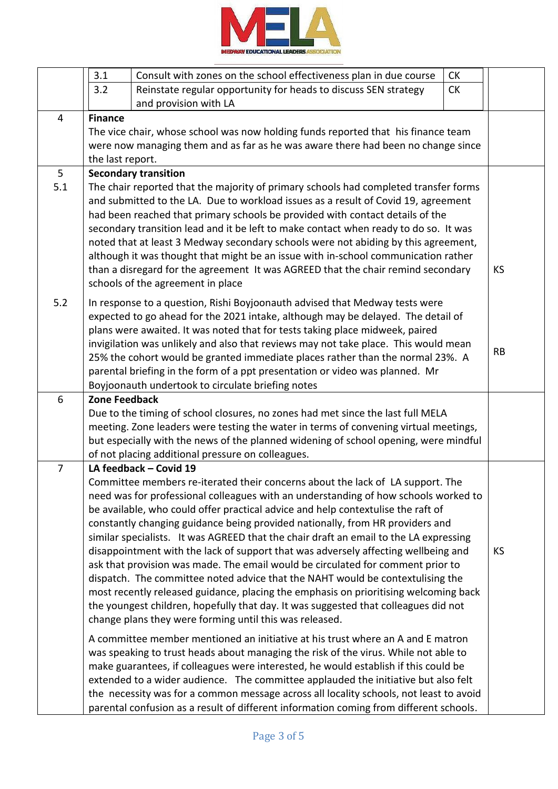

|                | 3.1                  | Consult with zones on the school effectiveness plan in due course                                                                                                          | <b>CK</b> |           |
|----------------|----------------------|----------------------------------------------------------------------------------------------------------------------------------------------------------------------------|-----------|-----------|
|                | 3.2                  | Reinstate regular opportunity for heads to discuss SEN strategy                                                                                                            | <b>CK</b> |           |
|                |                      | and provision with LA                                                                                                                                                      |           |           |
| $\overline{4}$ | <b>Finance</b>       |                                                                                                                                                                            |           |           |
|                |                      | The vice chair, whose school was now holding funds reported that his finance team                                                                                          |           |           |
|                |                      | were now managing them and as far as he was aware there had been no change since                                                                                           |           |           |
|                | the last report.     |                                                                                                                                                                            |           |           |
| 5              |                      | <b>Secondary transition</b>                                                                                                                                                |           |           |
| 5.1            |                      | The chair reported that the majority of primary schools had completed transfer forms                                                                                       |           |           |
|                |                      | and submitted to the LA. Due to workload issues as a result of Covid 19, agreement                                                                                         |           |           |
|                |                      | had been reached that primary schools be provided with contact details of the                                                                                              |           |           |
|                |                      | secondary transition lead and it be left to make contact when ready to do so. It was                                                                                       |           |           |
|                |                      | noted that at least 3 Medway secondary schools were not abiding by this agreement,                                                                                         |           |           |
|                |                      | although it was thought that might be an issue with in-school communication rather<br>than a disregard for the agreement It was AGREED that the chair remind secondary     |           | <b>KS</b> |
|                |                      | schools of the agreement in place                                                                                                                                          |           |           |
|                |                      |                                                                                                                                                                            |           |           |
| 5.2            |                      | In response to a question, Rishi Boyjoonauth advised that Medway tests were                                                                                                |           |           |
|                |                      | expected to go ahead for the 2021 intake, although may be delayed. The detail of                                                                                           |           |           |
|                |                      | plans were awaited. It was noted that for tests taking place midweek, paired                                                                                               |           |           |
|                |                      | invigilation was unlikely and also that reviews may not take place. This would mean<br>25% the cohort would be granted immediate places rather than the normal 23%. A      |           | <b>RB</b> |
|                |                      | parental briefing in the form of a ppt presentation or video was planned. Mr                                                                                               |           |           |
|                |                      | Boyjoonauth undertook to circulate briefing notes                                                                                                                          |           |           |
| 6              | <b>Zone Feedback</b> |                                                                                                                                                                            |           |           |
|                |                      | Due to the timing of school closures, no zones had met since the last full MELA                                                                                            |           |           |
|                |                      | meeting. Zone leaders were testing the water in terms of convening virtual meetings,                                                                                       |           |           |
|                |                      | but especially with the news of the planned widening of school opening, were mindful                                                                                       |           |           |
|                |                      | of not placing additional pressure on colleagues.                                                                                                                          |           |           |
| $\overline{7}$ |                      | LA feedback - Covid 19                                                                                                                                                     |           |           |
|                |                      | Committee members re-iterated their concerns about the lack of LA support. The                                                                                             |           |           |
|                |                      | need was for professional colleagues with an understanding of how schools worked to                                                                                        |           |           |
|                |                      | be available, who could offer practical advice and help contextulise the raft of                                                                                           |           |           |
|                |                      | constantly changing guidance being provided nationally, from HR providers and                                                                                              |           |           |
|                |                      | similar specialists. It was AGREED that the chair draft an email to the LA expressing                                                                                      |           |           |
|                |                      | disappointment with the lack of support that was adversely affecting wellbeing and                                                                                         |           | KS        |
|                |                      | ask that provision was made. The email would be circulated for comment prior to                                                                                            |           |           |
|                |                      | dispatch. The committee noted advice that the NAHT would be contextulising the<br>most recently released guidance, placing the emphasis on prioritising welcoming back     |           |           |
|                |                      | the youngest children, hopefully that day. It was suggested that colleagues did not                                                                                        |           |           |
|                |                      | change plans they were forming until this was released.                                                                                                                    |           |           |
|                |                      |                                                                                                                                                                            |           |           |
|                |                      | A committee member mentioned an initiative at his trust where an A and E matron                                                                                            |           |           |
|                |                      | was speaking to trust heads about managing the risk of the virus. While not able to<br>make guarantees, if colleagues were interested, he would establish if this could be |           |           |
|                |                      | extended to a wider audience. The committee applauded the initiative but also felt                                                                                         |           |           |
|                |                      | the necessity was for a common message across all locality schools, not least to avoid                                                                                     |           |           |
|                |                      | parental confusion as a result of different information coming from different schools.                                                                                     |           |           |
|                |                      |                                                                                                                                                                            |           |           |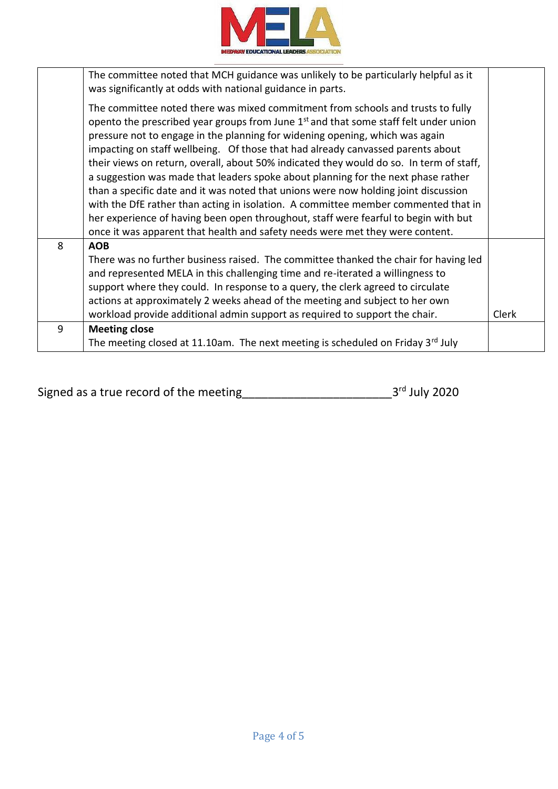

|   | The committee noted that MCH guidance was unlikely to be particularly helpful as it<br>was significantly at odds with national guidance in parts.                                                                                                                                                                                                                                                                                                                                                                                                                                                                                                                                                                                                                                                                                                                                           |              |
|---|---------------------------------------------------------------------------------------------------------------------------------------------------------------------------------------------------------------------------------------------------------------------------------------------------------------------------------------------------------------------------------------------------------------------------------------------------------------------------------------------------------------------------------------------------------------------------------------------------------------------------------------------------------------------------------------------------------------------------------------------------------------------------------------------------------------------------------------------------------------------------------------------|--------------|
|   | The committee noted there was mixed commitment from schools and trusts to fully<br>opento the prescribed year groups from June 1 <sup>st</sup> and that some staff felt under union<br>pressure not to engage in the planning for widening opening, which was again<br>impacting on staff wellbeing. Of those that had already canvassed parents about<br>their views on return, overall, about 50% indicated they would do so. In term of staff,<br>a suggestion was made that leaders spoke about planning for the next phase rather<br>than a specific date and it was noted that unions were now holding joint discussion<br>with the DfE rather than acting in isolation. A committee member commented that in<br>her experience of having been open throughout, staff were fearful to begin with but<br>once it was apparent that health and safety needs were met they were content. |              |
| 8 | <b>AOB</b>                                                                                                                                                                                                                                                                                                                                                                                                                                                                                                                                                                                                                                                                                                                                                                                                                                                                                  |              |
|   | There was no further business raised. The committee thanked the chair for having led                                                                                                                                                                                                                                                                                                                                                                                                                                                                                                                                                                                                                                                                                                                                                                                                        |              |
|   | and represented MELA in this challenging time and re-iterated a willingness to                                                                                                                                                                                                                                                                                                                                                                                                                                                                                                                                                                                                                                                                                                                                                                                                              |              |
|   | support where they could. In response to a query, the clerk agreed to circulate                                                                                                                                                                                                                                                                                                                                                                                                                                                                                                                                                                                                                                                                                                                                                                                                             |              |
|   | actions at approximately 2 weeks ahead of the meeting and subject to her own                                                                                                                                                                                                                                                                                                                                                                                                                                                                                                                                                                                                                                                                                                                                                                                                                |              |
|   | workload provide additional admin support as required to support the chair.                                                                                                                                                                                                                                                                                                                                                                                                                                                                                                                                                                                                                                                                                                                                                                                                                 | <b>Clerk</b> |
| 9 | <b>Meeting close</b>                                                                                                                                                                                                                                                                                                                                                                                                                                                                                                                                                                                                                                                                                                                                                                                                                                                                        |              |
|   | The meeting closed at 11.10am. The next meeting is scheduled on Friday 3 <sup>rd</sup> July                                                                                                                                                                                                                                                                                                                                                                                                                                                                                                                                                                                                                                                                                                                                                                                                 |              |

| Signed as a true record of the meeting | $3^{\text{rd}}$ July 2020 |  |
|----------------------------------------|---------------------------|--|
|----------------------------------------|---------------------------|--|